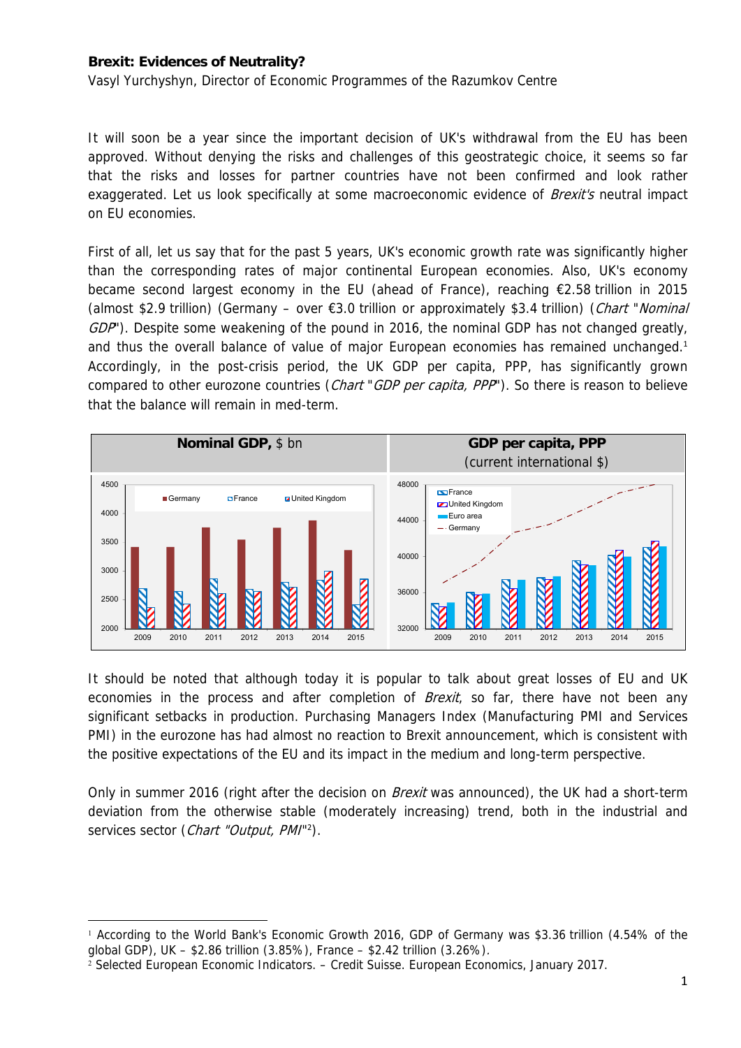## **Brexit: Evidences of Neutrality?**

Vasyl Yurchyshyn, Director of Economic Programmes of the Razumkov Centre

It will soon be a year since the important decision of UK's withdrawal from the EU has been approved. Without denying the risks and challenges of this geostrategic choice, it seems so far that the risks and losses for partner countries have not been confirmed and look rather exaggerated. Let us look specifically at some macroeconomic evidence of *Brexit's* neutral impact on EU economies.

First of all, let us say that for the past 5 years, UK's economic growth rate was significantly higher than the corresponding rates of major continental European economies. Also, UK's economy became second largest economy in the EU (ahead of France), reaching €2.58 trillion in 2015 (almost \$2.9 trillion) (Germany – over  $\epsilon$ 3.0 trillion or approximately \$3.4 trillion) (*Chart "Nominal* GDP'). Despite some weakening of the pound in 2016, the nominal GDP has not changed greatly, and thus the overall balance of value of major European economies has remained unchanged.<sup>1</sup> Accordingly, in the post-crisis period, the UK GDP per capita, PPP, has significantly grown compared to other eurozone countries (*Chart* "*GDP per capita, PPP*"). So there is reason to believe that the balance will remain in med-term.



It should be noted that although today it is popular to talk about great losses of EU and UK economies in the process and after completion of *Brexit*, so far, there have not been any significant setbacks in production. Purchasing Managers Index (Manufacturing PMI and Services PMI) in the eurozone has had almost no reaction to Brexit announcement, which is consistent with the positive expectations of the EU and its impact in the medium and long-term perspective.

Only in summer 2016 (right after the decision on *Brexit* was announced), the UK had a short-term deviation from the otherwise stable (moderately increasing) trend, both in the industrial and services sector (Chart "Output, PMI"<sup>2</sup>).

<sup>1</sup> According to the World Bank's Economic Growth 2016, GDP of Germany was \$3.36 trillion (4.54% of the global GDP), UK – \$2.86 trillion (3.85%), France – \$2.42 trillion (3.26%).

<sup>2</sup> Selected European Economic Indicators. – Credit Suisse. European Economics, January 2017.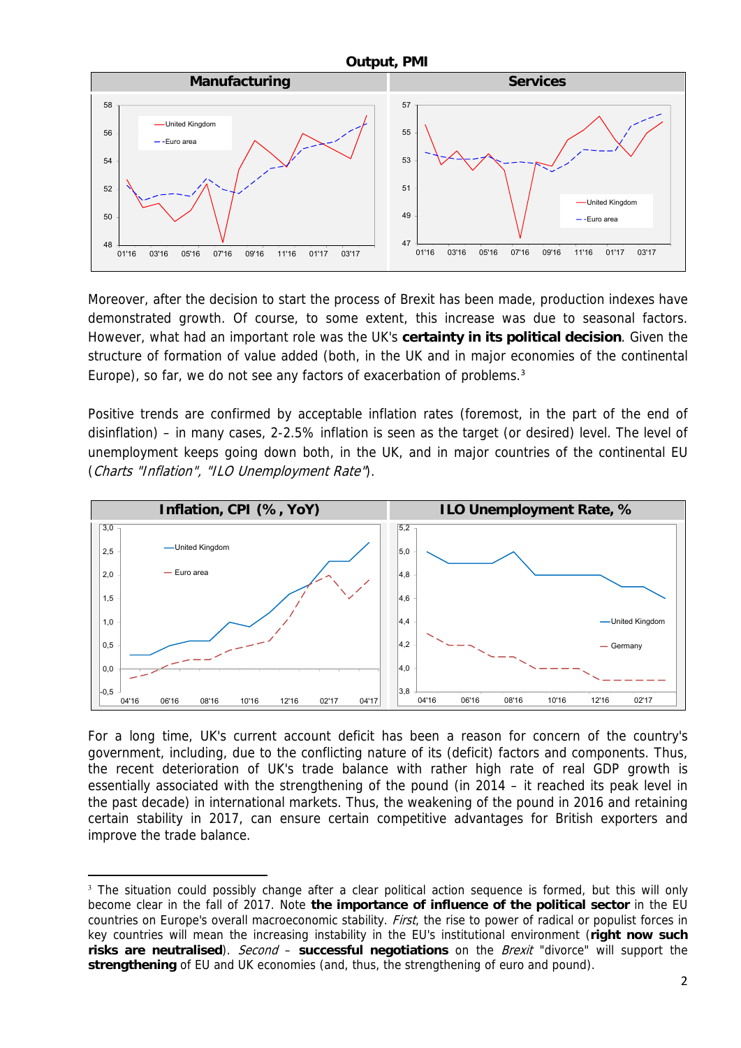

Moreover, after the decision to start the process of Brexit has been made, production indexes have demonstrated growth. Of course, to some extent, this increase was due to seasonal factors. However, what had an important role was the UK's **certainty in its political decision**. Given the structure of formation of value added (both, in the UK and in major economies of the continental Europe), so far, we do not see any factors of exacerbation of problems.<sup>3</sup>

Positive trends are confirmed by acceptable inflation rates (foremost, in the part of the end of disinflation) – in many cases, 2-2.5% inflation is seen as the target (or desired) level. The level of unemployment keeps going down both, in the UK, and in major countries of the continental EU (Charts "Inflation", "ILO Unemployment Rate").



For a long time, UK's current account deficit has been a reason for concern of the country's government, including, due to the conflicting nature of its (deficit) factors and components. Thus, the recent deterioration of UK's trade balance with rather high rate of real GDP growth is essentially associated with the strengthening of the pound (in 2014 – it reached its peak level in the past decade) in international markets. Thus, the weakening of the pound in 2016 and retaining certain stability in 2017, can ensure certain competitive advantages for British exporters and improve the trade balance.

 <sup>3</sup> The situation could possibly change after a clear political action sequence is formed, but this will only become clear in the fall of 2017. Note **the importance of influence of the political sector** in the EU countries on Europe's overall macroeconomic stability. First, the rise to power of radical or populist forces in key countries will mean the increasing instability in the EU's institutional environment (**right now such risks are neutralised**). Second – **successful negotiations** on the Brexit "divorce" will support the **strengthening** of EU and UK economies (and, thus, the strengthening of euro and pound).